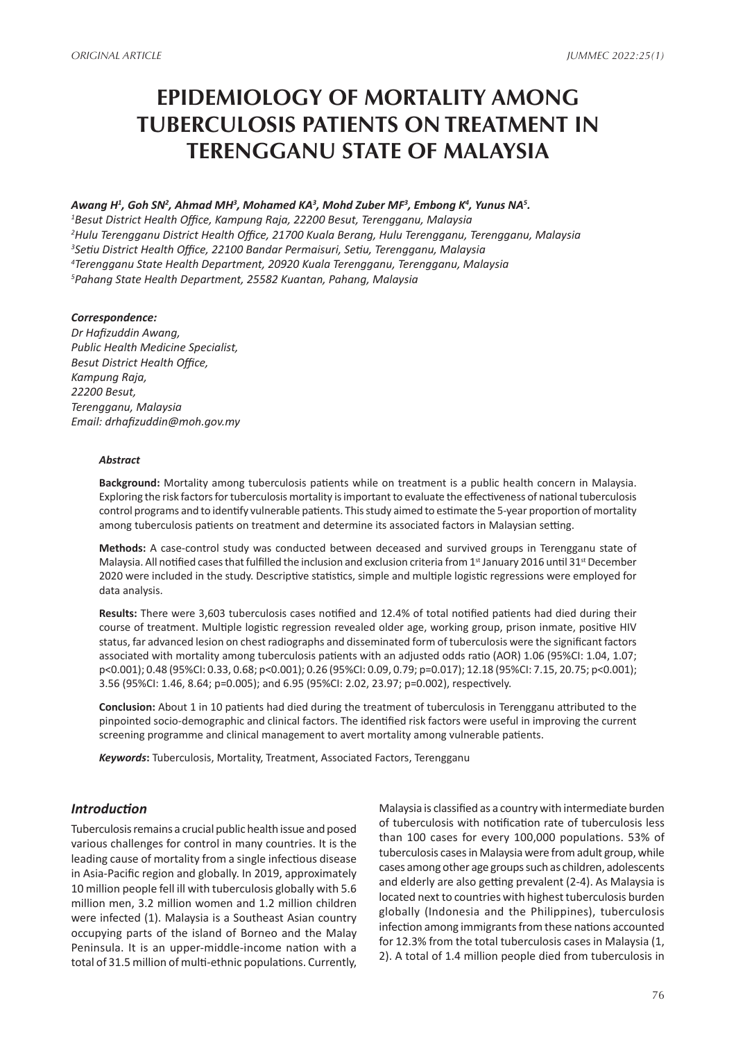# **EPIDEMIOLOGY OF MORTALITY AMONG TUBERCULOSIS PATIENTS ON TREATMENT IN TERENGGANU STATE OF MALAYSIA**

#### Awang H<sup>1</sup>, Goh SN<sup>2</sup>, Ahmad MH<sup>3</sup>, Mohamed KA<sup>3</sup>, Mohd Zuber MF<sup>3</sup>, Embong K<sup>4</sup>, Yunus NA<sup>5</sup>.

 *Besut District Health Office, Kampung Raja, 22200 Besut, Terengganu, Malaysia Hulu Terengganu District Health Office, 21700 Kuala Berang, Hulu Terengganu, Terengganu, Malaysia Setiu District Health Office, 22100 Bandar Permaisuri, Setiu, Terengganu, Malaysia Terengganu State Health Department, 20920 Kuala Terengganu, Terengganu, Malaysia Pahang State Health Department, 25582 Kuantan, Pahang, Malaysia*

#### *Correspondence:*

*Dr Hafizuddin Awang, Public Health Medicine Specialist, Besut District Health Office, Kampung Raja, 22200 Besut, Terengganu, Malaysia Email: drhafizuddin@moh.gov.my*

#### *Abstract*

**Background:** Mortality among tuberculosis patients while on treatment is a public health concern in Malaysia. Exploring the risk factors for tuberculosis mortality is important to evaluate the effectiveness of national tuberculosis control programs and to identify vulnerable patients. This study aimed to estimate the 5-year proportion of mortality among tuberculosis patients on treatment and determine its associated factors in Malaysian setting.

**Methods:** A case-control study was conducted between deceased and survived groups in Terengganu state of Malaysia. All notified cases that fulfilled the inclusion and exclusion criteria from 1<sup>st</sup> January 2016 until 31<sup>st</sup> December 2020 were included in the study. Descriptive statistics, simple and multiple logistic regressions were employed for data analysis.

**Results:** There were 3,603 tuberculosis cases notified and 12.4% of total notified patients had died during their course of treatment. Multiple logistic regression revealed older age, working group, prison inmate, positive HIV status, far advanced lesion on chest radiographs and disseminated form of tuberculosis were the significant factors associated with mortality among tuberculosis patients with an adjusted odds ratio (AOR) 1.06 (95%CI: 1.04, 1.07; p<0.001); 0.48 (95%CI: 0.33, 0.68; p<0.001); 0.26 (95%CI: 0.09, 0.79; p=0.017); 12.18 (95%CI: 7.15, 20.75; p<0.001); 3.56 (95%CI: 1.46, 8.64; p=0.005); and 6.95 (95%CI: 2.02, 23.97; p=0.002), respectively.

**Conclusion:** About 1 in 10 patients had died during the treatment of tuberculosis in Terengganu attributed to the pinpointed socio-demographic and clinical factors. The identified risk factors were useful in improving the current screening programme and clinical management to avert mortality among vulnerable patients.

*Keywords***:** Tuberculosis, Mortality, Treatment, Associated Factors, Terengganu

### *Introduction*

Tuberculosis remains a crucial public health issue and posed various challenges for control in many countries. It is the leading cause of mortality from a single infectious disease in Asia-Pacific region and globally. In 2019, approximately 10 million people fell ill with tuberculosis globally with 5.6 million men, 3.2 million women and 1.2 million children were infected (1). Malaysia is a Southeast Asian country occupying parts of the island of Borneo and the Malay Peninsula. It is an upper-middle-income nation with a total of 31.5 million of multi-ethnic populations. Currently,

Malaysia is classified as a country with intermediate burden of tuberculosis with notification rate of tuberculosis less than 100 cases for every 100,000 populations. 53% of tuberculosis cases in Malaysia were from adult group, while cases among other age groups such as children, adolescents and elderly are also getting prevalent (2-4). As Malaysia is located next to countries with highest tuberculosis burden globally (Indonesia and the Philippines), tuberculosis infection among immigrants from these nations accounted for 12.3% from the total tuberculosis cases in Malaysia (1, 2). A total of 1.4 million people died from tuberculosis in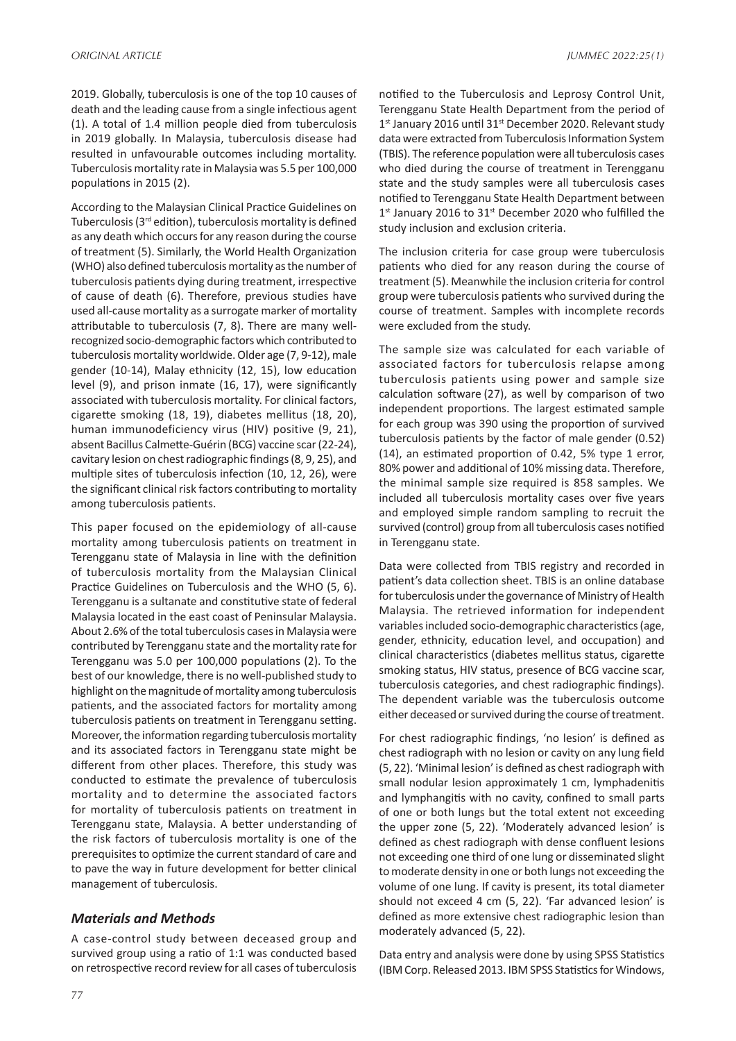2019. Globally, tuberculosis is one of the top 10 causes of death and the leading cause from a single infectious agent (1). A total of 1.4 million people died from tuberculosis in 2019 globally. In Malaysia, tuberculosis disease had resulted in unfavourable outcomes including mortality. Tuberculosis mortality rate in Malaysia was 5.5 per 100,000 populations in 2015 (2).

According to the Malaysian Clinical Practice Guidelines on Tuberculosis (3rd edition), tuberculosis mortality is defined as any death which occurs for any reason during the course of treatment (5). Similarly, the World Health Organization (WHO) also defined tuberculosis mortality as the number of tuberculosis patients dying during treatment, irrespective of cause of death (6). Therefore, previous studies have used all-cause mortality as a surrogate marker of mortality attributable to tuberculosis (7, 8). There are many wellrecognized socio-demographic factors which contributed to tuberculosis mortality worldwide. Older age (7, 9-12), male gender (10-14), Malay ethnicity (12, 15), low education level (9), and prison inmate (16, 17), were significantly associated with tuberculosis mortality. For clinical factors, cigarette smoking (18, 19), diabetes mellitus (18, 20), human immunodeficiency virus (HIV) positive (9, 21), absent Bacillus Calmette-Guérin (BCG) vaccine scar (22-24), cavitary lesion on chest radiographic findings (8, 9, 25), and multiple sites of tuberculosis infection (10, 12, 26), were the significant clinical risk factors contributing to mortality among tuberculosis patients.

This paper focused on the epidemiology of all-cause mortality among tuberculosis patients on treatment in Terengganu state of Malaysia in line with the definition of tuberculosis mortality from the Malaysian Clinical Practice Guidelines on Tuberculosis and the WHO (5, 6). Terengganu is a sultanate and constitutive state of federal Malaysia located in the east coast of Peninsular Malaysia. About 2.6% of the total tuberculosis cases in Malaysia were contributed by Terengganu state and the mortality rate for Terengganu was 5.0 per 100,000 populations (2). To the best of our knowledge, there is no well-published study to highlight on the magnitude of mortality among tuberculosis patients, and the associated factors for mortality among tuberculosis patients on treatment in Terengganu setting. Moreover, the information regarding tuberculosis mortality and its associated factors in Terengganu state might be different from other places. Therefore, this study was conducted to estimate the prevalence of tuberculosis mortality and to determine the associated factors for mortality of tuberculosis patients on treatment in Terengganu state, Malaysia. A better understanding of the risk factors of tuberculosis mortality is one of the prerequisites to optimize the current standard of care and to pave the way in future development for better clinical management of tuberculosis.

#### *Materials and Methods*

A case-control study between deceased group and survived group using a ratio of 1:1 was conducted based on retrospective record review for all cases of tuberculosis notified to the Tuberculosis and Leprosy Control Unit, Terengganu State Health Department from the period of 1<sup>st</sup> January 2016 until 31<sup>st</sup> December 2020. Relevant study data were extracted from Tuberculosis Information System (TBIS). The reference population were all tuberculosis cases who died during the course of treatment in Terengganu state and the study samples were all tuberculosis cases notified to Terengganu State Health Department between 1<sup>st</sup> January 2016 to 31<sup>st</sup> December 2020 who fulfilled the study inclusion and exclusion criteria.

The inclusion criteria for case group were tuberculosis patients who died for any reason during the course of treatment (5). Meanwhile the inclusion criteria for control group were tuberculosis patients who survived during the course of treatment. Samples with incomplete records were excluded from the study.

The sample size was calculated for each variable of associated factors for tuberculosis relapse among tuberculosis patients using power and sample size calculation software (27), as well by comparison of two independent proportions. The largest estimated sample for each group was 390 using the proportion of survived tuberculosis patients by the factor of male gender (0.52) (14), an estimated proportion of 0.42, 5% type 1 error, 80% power and additional of 10% missing data. Therefore, the minimal sample size required is 858 samples. We included all tuberculosis mortality cases over five years and employed simple random sampling to recruit the survived (control) group from all tuberculosis cases notified in Terengganu state.

Data were collected from TBIS registry and recorded in patient's data collection sheet. TBIS is an online database for tuberculosis under the governance of Ministry of Health Malaysia. The retrieved information for independent variables included socio-demographic characteristics (age, gender, ethnicity, education level, and occupation) and clinical characteristics (diabetes mellitus status, cigarette smoking status, HIV status, presence of BCG vaccine scar, tuberculosis categories, and chest radiographic findings). The dependent variable was the tuberculosis outcome either deceased or survived during the course of treatment.

For chest radiographic findings, 'no lesion' is defined as chest radiograph with no lesion or cavity on any lung field (5, 22). 'Minimal lesion' is defined as chest radiograph with small nodular lesion approximately 1 cm, lymphadenitis and lymphangitis with no cavity, confined to small parts of one or both lungs but the total extent not exceeding the upper zone (5, 22). 'Moderately advanced lesion' is defined as chest radiograph with dense confluent lesions not exceeding one third of one lung or disseminated slight to moderate density in one or both lungs not exceeding the volume of one lung. If cavity is present, its total diameter should not exceed 4 cm (5, 22). 'Far advanced lesion' is defined as more extensive chest radiographic lesion than moderately advanced (5, 22).

Data entry and analysis were done by using SPSS Statistics (IBM Corp. Released 2013. IBM SPSS Statistics for Windows,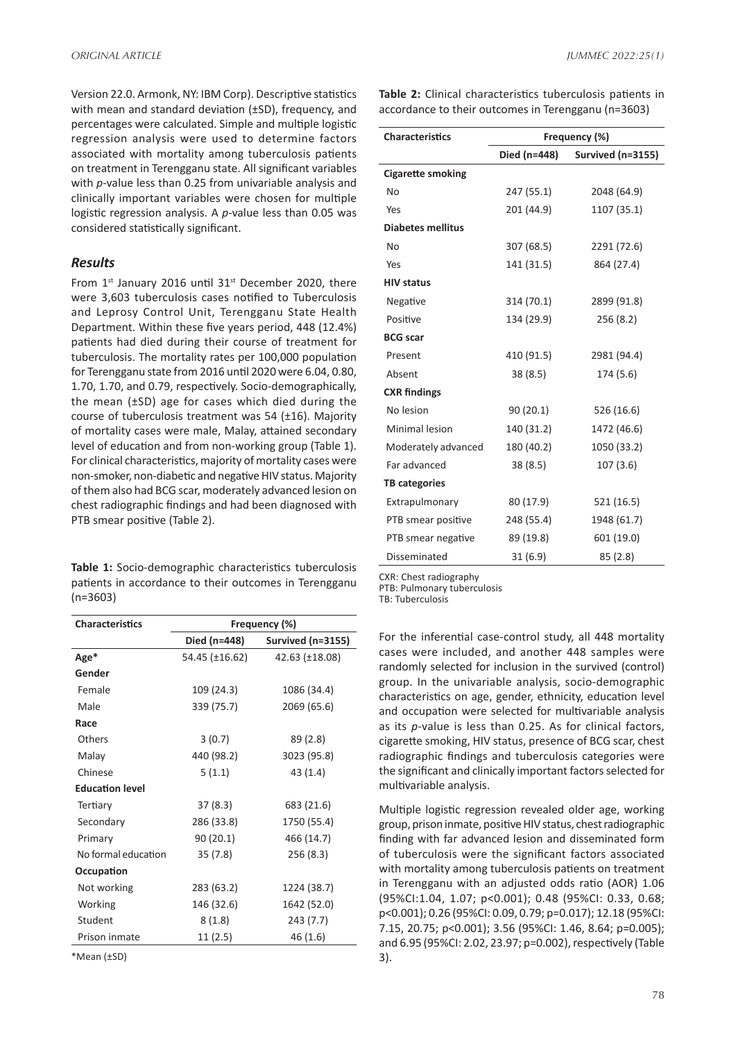Version 22.0. Armonk, NY: IBM Corp). Descriptive statistics with mean and standard deviation (±SD), frequency, and percentages were calculated. Simple and multiple logistic regression analysis were used to determine factors associated with mortality among tuberculosis patients on treatment in Terengganu state. All significant variables with *p*-value less than 0.25 from univariable analysis and clinically important variables were chosen for multiple logistic regression analysis. A *p*-value less than 0.05 was considered statistically significant.

#### *Results*

From  $1^{st}$  January 2016 until 31 $st$  December 2020, there were 3,603 tuberculosis cases notified to Tuberculosis and Leprosy Control Unit, Terengganu State Health Department. Within these five years period, 448 (12.4%) patients had died during their course of treatment for tuberculosis. The mortality rates per 100,000 population for Terengganu state from 2016 until 2020 were 6.04, 0.80, 1.70, 1.70, and 0.79, respectively. Socio-demographically, the mean (±SD) age for cases which died during the course of tuberculosis treatment was 54 (±16). Majority of mortality cases were male, Malay, attained secondary level of education and from non-working group (Table 1). For clinical characteristics, majority of mortality cases were non-smoker, non-diabetic and negative HIV status. Majority of them also had BCG scar, moderately advanced lesion on chest radiographic findings and had been diagnosed with PTB smear positive (Table 2).

**Table 1:** Socio-demographic characteristics tuberculosis patients in accordance to their outcomes in Terengganu (n=3603)

| <b>Characteristics</b> | Frequency (%)             |                   |  |  |  |
|------------------------|---------------------------|-------------------|--|--|--|
|                        | Died (n=448)              | Survived (n=3155) |  |  |  |
| Age*                   | 54.45 (±16.62)            | 42.63 (±18.08)    |  |  |  |
| Gender                 |                           |                   |  |  |  |
| Female                 | 109 (24.3)<br>1086 (34.4) |                   |  |  |  |
| Male                   | 339 (75.7)                | 2069 (65.6)       |  |  |  |
| Race                   |                           |                   |  |  |  |
| Others                 | 3(0.7)                    | 89 (2.8)          |  |  |  |
| Malay                  | 440 (98.2)                | 3023 (95.8)       |  |  |  |
| Chinese                | 5(1.1)                    | 43 (1.4)          |  |  |  |
| <b>Education level</b> |                           |                   |  |  |  |
| Tertiary               | 37(8.3)                   | 683 (21.6)        |  |  |  |
| Secondary              | 286 (33.8)                | 1750 (55.4)       |  |  |  |
| Primary                | 90(20.1)                  | 466 (14.7)        |  |  |  |
| No formal education    | 35(7.8)                   | 256 (8.3)         |  |  |  |
| Occupation             |                           |                   |  |  |  |
| Not working            | 283 (63.2)                | 1224 (38.7)       |  |  |  |
| Working                | 146 (32.6)                | 1642 (52.0)       |  |  |  |
| Student                | 8(1.8)                    | 243 (7.7)         |  |  |  |
| Prison inmate          | 11 (2.5)                  | 46 (1.6)          |  |  |  |

\*Mean (±SD)

**Table 2:** Clinical characteristics tuberculosis patients in accordance to their outcomes in Terengganu (n=3603)

| <b>Characteristics</b>   | Frequency (%) |                   |  |  |  |
|--------------------------|---------------|-------------------|--|--|--|
|                          | Died (n=448)  | Survived (n=3155) |  |  |  |
| <b>Cigarette smoking</b> |               |                   |  |  |  |
| No                       | 247 (55.1)    | 2048 (64.9)       |  |  |  |
| Yes                      | 201 (44.9)    | 1107 (35.1)       |  |  |  |
| <b>Diabetes mellitus</b> |               |                   |  |  |  |
| No                       | 307 (68.5)    | 2291 (72.6)       |  |  |  |
| Yes                      | 141 (31.5)    | 864 (27.4)        |  |  |  |
| <b>HIV status</b>        |               |                   |  |  |  |
| Negative                 | 314 (70.1)    | 2899 (91.8)       |  |  |  |
| Positive                 | 134 (29.9)    | 256 (8.2)         |  |  |  |
| <b>BCG</b> scar          |               |                   |  |  |  |
| Present                  | 410 (91.5)    | 2981 (94.4)       |  |  |  |
| Absent                   | 38(8.5)       | 174 (5.6)         |  |  |  |
| <b>CXR</b> findings      |               |                   |  |  |  |
| No lesion                | 90(20.1)      | 526 (16.6)        |  |  |  |
| Minimal lesion           | 140 (31.2)    | 1472 (46.6)       |  |  |  |
| Moderately advanced      | 180 (40.2)    | 1050 (33.2)       |  |  |  |
| Far advanced             | 38(8.5)       | 107(3.6)          |  |  |  |
| <b>TB categories</b>     |               |                   |  |  |  |
| Extrapulmonary           | 80 (17.9)     | 521 (16.5)        |  |  |  |
| PTB smear positive       | 248 (55.4)    | 1948 (61.7)       |  |  |  |
| PTB smear negative       | 89 (19.8)     | 601 (19.0)        |  |  |  |
| Disseminated             | 31(6.9)       | 85(2.8)           |  |  |  |

CXR: Chest radiography

PTB: Pulmonary tuberculosis

TB: Tuberculosis

For the inferential case-control study, all 448 mortality cases were included, and another 448 samples were randomly selected for inclusion in the survived (control) group. In the univariable analysis, socio-demographic characteristics on age, gender, ethnicity, education level and occupation were selected for multivariable analysis as its *p*-value is less than 0.25. As for clinical factors, cigarette smoking, HIV status, presence of BCG scar, chest radiographic findings and tuberculosis categories were the significant and clinically important factors selected for multivariable analysis.

Multiple logistic regression revealed older age, working group, prison inmate, positive HIV status, chest radiographic finding with far advanced lesion and disseminated form of tuberculosis were the significant factors associated with mortality among tuberculosis patients on treatment in Terengganu with an adjusted odds ratio (AOR) 1.06 (95%CI:1.04, 1.07; p<0.001); 0.48 (95%CI: 0.33, 0.68; p<0.001); 0.26 (95%CI: 0.09, 0.79; p=0.017); 12.18 (95%CI: 7.15, 20.75; p<0.001); 3.56 (95%CI: 1.46, 8.64; p=0.005); and 6.95 (95%CI: 2.02, 23.97; p=0.002), respectively (Table 3).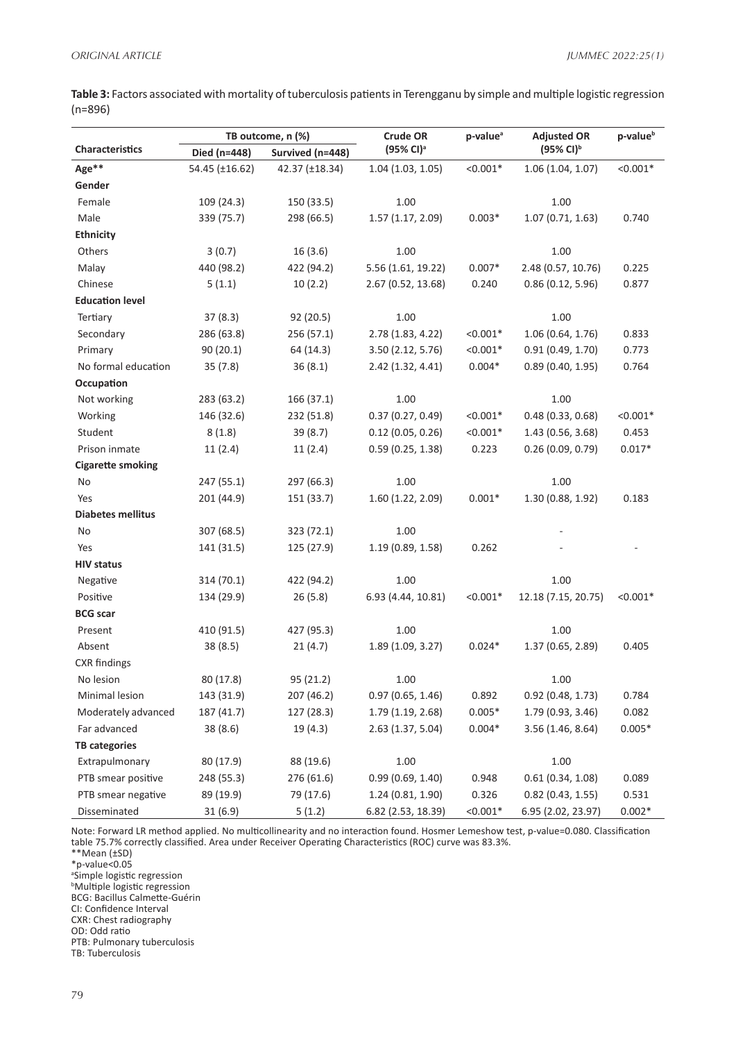**Table 3:** Factors associated with mortality of tuberculosis patients in Terengganu by simple and multiple logistic regression (n=896)

| <b>Characteristics</b>   | TB outcome, n (%) |                  | <b>Crude OR</b>       | p-value <sup>a</sup> | <b>Adjusted OR</b>    | p-value <sup>b</sup> |
|--------------------------|-------------------|------------------|-----------------------|----------------------|-----------------------|----------------------|
|                          | Died (n=448)      | Survived (n=448) | (95% Cl) <sup>a</sup> |                      | (95% CI) <sup>b</sup> |                      |
| Age**                    | 54.45 (±16.62)    | 42.37 (±18.34)   | 1.04(1.03, 1.05)      | $< 0.001*$           | 1.06(1.04, 1.07)      | $< 0.001*$           |
| Gender                   |                   |                  |                       |                      |                       |                      |
| Female                   | 109 (24.3)        | 150 (33.5)       | 1.00                  |                      | 1.00                  |                      |
| Male                     | 339 (75.7)        | 298 (66.5)       | 1.57(1.17, 2.09)      | $0.003*$             | 1.07(0.71, 1.63)      | 0.740                |
| <b>Ethnicity</b>         |                   |                  |                       |                      |                       |                      |
| Others                   | 3(0.7)            | 16(3.6)          | 1.00                  |                      | 1.00                  |                      |
| Malay                    | 440 (98.2)        | 422 (94.2)       | 5.56 (1.61, 19.22)    | $0.007*$             | 2.48 (0.57, 10.76)    | 0.225                |
| Chinese                  | 5(1.1)            | 10(2.2)          | 2.67 (0.52, 13.68)    | 0.240                | 0.86(0.12, 5.96)      | 0.877                |
| <b>Education level</b>   |                   |                  |                       |                      |                       |                      |
| Tertiary                 | 37(8.3)           | 92(20.5)         | 1.00                  |                      | 1.00                  |                      |
| Secondary                | 286 (63.8)        | 256 (57.1)       | 2.78 (1.83, 4.22)     | $< 0.001*$           | 1.06 (0.64, 1.76)     | 0.833                |
| Primary                  | 90(20.1)          | 64 (14.3)        | 3.50 (2.12, 5.76)     | $< 0.001*$           | 0.91(0.49, 1.70)      | 0.773                |
| No formal education      | 35(7.8)           | 36(8.1)          | 2.42 (1.32, 4.41)     | $0.004*$             | 0.89(0.40, 1.95)      | 0.764                |
| Occupation               |                   |                  |                       |                      |                       |                      |
| Not working              | 283 (63.2)        | 166 (37.1)       | 1.00                  |                      | 1.00                  |                      |
| Working                  | 146 (32.6)        | 232 (51.8)       | 0.37(0.27, 0.49)      | $< 0.001*$           | 0.48(0.33, 0.68)      | $< 0.001*$           |
| Student                  | 8(1.8)            | 39 (8.7)         | 0.12(0.05, 0.26)      | $< 0.001*$           | 1.43 (0.56, 3.68)     | 0.453                |
| Prison inmate            | 11(2.4)           | 11(2.4)          | 0.59(0.25, 1.38)      | 0.223                | 0.26(0.09, 0.79)      | $0.017*$             |
| <b>Cigarette smoking</b> |                   |                  |                       |                      |                       |                      |
| No                       | 247 (55.1)        | 297 (66.3)       | 1.00                  |                      | 1.00                  |                      |
| Yes                      | 201 (44.9)        | 151 (33.7)       | 1.60 (1.22, 2.09)     | $0.001*$             | 1.30 (0.88, 1.92)     | 0.183                |
| <b>Diabetes mellitus</b> |                   |                  |                       |                      |                       |                      |
| No                       | 307 (68.5)        | 323 (72.1)       | 1.00                  |                      |                       |                      |
| Yes                      | 141 (31.5)        | 125 (27.9)       | 1.19 (0.89, 1.58)     | 0.262                |                       |                      |
| <b>HIV status</b>        |                   |                  |                       |                      |                       |                      |
| Negative                 | 314 (70.1)        | 422 (94.2)       | 1.00                  |                      | 1.00                  |                      |
| Positive                 | 134 (29.9)        | 26(5.8)          | 6.93 (4.44, 10.81)    | $< 0.001*$           | 12.18 (7.15, 20.75)   | $< 0.001*$           |
| <b>BCG</b> scar          |                   |                  |                       |                      |                       |                      |
| Present                  | 410 (91.5)        | 427 (95.3)       | 1.00                  |                      | 1.00                  |                      |
| Absent                   | 38 (8.5)          | 21(4.7)          | 1.89 (1.09, 3.27)     | $0.024*$             | 1.37 (0.65, 2.89)     | 0.405                |
| <b>CXR</b> findings      |                   |                  |                       |                      |                       |                      |
| No lesion                | 80 (17.8)         | 95 (21.2)        | 1.00                  |                      | 1.00                  |                      |
| Minimal lesion           | 143 (31.9)        | 207 (46.2)       | 0.97(0.65, 1.46)      | 0.892                | $0.92$ (0.48, 1.73)   | 0.784                |
| Moderately advanced      | 187 (41.7)        | 127 (28.3)       | 1.79 (1.19, 2.68)     | $0.005*$             | 1.79 (0.93, 3.46)     | 0.082                |
| Far advanced             | 38 (8.6)          | 19(4.3)          | 2.63(1.37, 5.04)      | $0.004*$             | 3.56(1.46, 8.64)      | $0.005*$             |
| <b>TB categories</b>     |                   |                  |                       |                      |                       |                      |
| Extrapulmonary           | 80 (17.9)         | 88 (19.6)        | 1.00                  |                      | 1.00                  |                      |
| PTB smear positive       | 248 (55.3)        | 276 (61.6)       | 0.99(0.69, 1.40)      | 0.948                | 0.61(0.34, 1.08)      | 0.089                |
| PTB smear negative       | 89 (19.9)         | 79 (17.6)        | 1.24(0.81, 1.90)      | 0.326                | $0.82$ (0.43, 1.55)   | 0.531                |
| Disseminated             | 31(6.9)           | 5(1.2)           | 6.82 (2.53, 18.39)    | $< 0.001*$           | 6.95 (2.02, 23.97)    | $0.002*$             |

Note: Forward LR method applied. No multicollinearity and no interaction found. Hosmer Lemeshow test, p-value=0.080. Classification table 75.7% correctly classified. Area under Receiver Operating Characteristics (ROC) curve was 83.3%.

\*\*Mean (±SD)

\*p-value<0.05

<sup>a</sup>Simple logistic regression<br><sup>b</sup>Multiple logistic regression

BCG: Bacillus Calmette-Guérin

CI: Confidence Interval

CXR: Chest radiography

OD: Odd ratio

PTB: Pulmonary tuberculosis

TB: Tuberculosis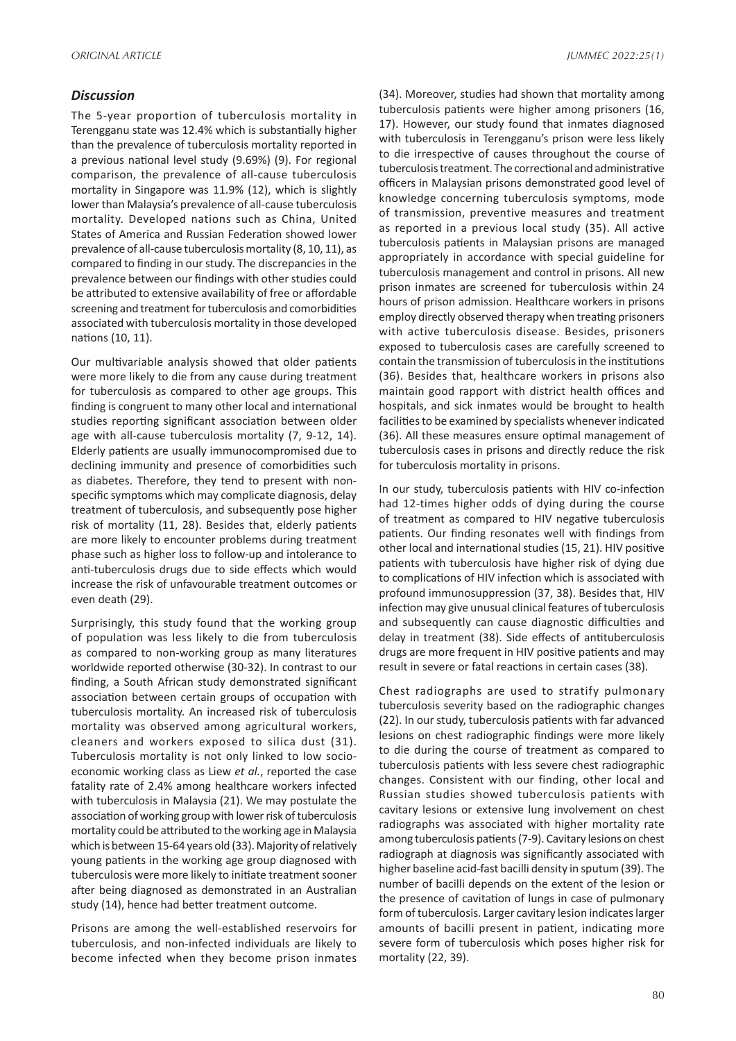#### *Discussion*

The 5-year proportion of tuberculosis mortality in Terengganu state was 12.4% which is substantially higher than the prevalence of tuberculosis mortality reported in a previous national level study (9.69%) (9). For regional comparison, the prevalence of all-cause tuberculosis mortality in Singapore was 11.9% (12), which is slightly lower than Malaysia's prevalence of all-cause tuberculosis mortality. Developed nations such as China, United States of America and Russian Federation showed lower prevalence of all-cause tuberculosis mortality (8, 10, 11), as compared to finding in our study. The discrepancies in the prevalence between our findings with other studies could be attributed to extensive availability of free or affordable screening and treatment for tuberculosis and comorbidities associated with tuberculosis mortality in those developed nations (10, 11).

Our multivariable analysis showed that older patients were more likely to die from any cause during treatment for tuberculosis as compared to other age groups. This finding is congruent to many other local and international studies reporting significant association between older age with all-cause tuberculosis mortality (7, 9-12, 14). Elderly patients are usually immunocompromised due to declining immunity and presence of comorbidities such as diabetes. Therefore, they tend to present with nonspecific symptoms which may complicate diagnosis, delay treatment of tuberculosis, and subsequently pose higher risk of mortality (11, 28). Besides that, elderly patients are more likely to encounter problems during treatment phase such as higher loss to follow-up and intolerance to anti-tuberculosis drugs due to side effects which would increase the risk of unfavourable treatment outcomes or even death (29).

Surprisingly, this study found that the working group of population was less likely to die from tuberculosis as compared to non-working group as many literatures worldwide reported otherwise (30-32). In contrast to our finding, a South African study demonstrated significant association between certain groups of occupation with tuberculosis mortality. An increased risk of tuberculosis mortality was observed among agricultural workers, cleaners and workers exposed to silica dust (31). Tuberculosis mortality is not only linked to low socioeconomic working class as Liew *et al.*, reported the case fatality rate of 2.4% among healthcare workers infected with tuberculosis in Malaysia (21). We may postulate the association of working group with lower risk of tuberculosis mortality could be attributed to the working age in Malaysia which is between 15-64 years old (33). Majority of relatively young patients in the working age group diagnosed with tuberculosis were more likely to initiate treatment sooner after being diagnosed as demonstrated in an Australian study (14), hence had better treatment outcome.

Prisons are among the well-established reservoirs for tuberculosis, and non-infected individuals are likely to become infected when they become prison inmates

(34). Moreover, studies had shown that mortality among tuberculosis patients were higher among prisoners (16, 17). However, our study found that inmates diagnosed with tuberculosis in Terengganu's prison were less likely to die irrespective of causes throughout the course of tuberculosis treatment. The correctional and administrative officers in Malaysian prisons demonstrated good level of knowledge concerning tuberculosis symptoms, mode of transmission, preventive measures and treatment as reported in a previous local study (35). All active tuberculosis patients in Malaysian prisons are managed appropriately in accordance with special guideline for tuberculosis management and control in prisons. All new prison inmates are screened for tuberculosis within 24 hours of prison admission. Healthcare workers in prisons employ directly observed therapy when treating prisoners with active tuberculosis disease. Besides, prisoners exposed to tuberculosis cases are carefully screened to contain the transmission of tuberculosis in the institutions (36). Besides that, healthcare workers in prisons also maintain good rapport with district health offices and hospitals, and sick inmates would be brought to health facilities to be examined by specialists whenever indicated (36). All these measures ensure optimal management of tuberculosis cases in prisons and directly reduce the risk for tuberculosis mortality in prisons.

In our study, tuberculosis patients with HIV co-infection had 12-times higher odds of dying during the course of treatment as compared to HIV negative tuberculosis patients. Our finding resonates well with findings from other local and international studies (15, 21). HIV positive patients with tuberculosis have higher risk of dying due to complications of HIV infection which is associated with profound immunosuppression (37, 38). Besides that, HIV infection may give unusual clinical features of tuberculosis and subsequently can cause diagnostic difficulties and delay in treatment (38). Side effects of antituberculosis drugs are more frequent in HIV positive patients and may result in severe or fatal reactions in certain cases (38).

Chest radiographs are used to stratify pulmonary tuberculosis severity based on the radiographic changes (22). In our study, tuberculosis patients with far advanced lesions on chest radiographic findings were more likely to die during the course of treatment as compared to tuberculosis patients with less severe chest radiographic changes. Consistent with our finding, other local and Russian studies showed tuberculosis patients with cavitary lesions or extensive lung involvement on chest radiographs was associated with higher mortality rate among tuberculosis patients (7-9). Cavitary lesions on chest radiograph at diagnosis was significantly associated with higher baseline acid-fast bacilli density in sputum (39). The number of bacilli depends on the extent of the lesion or the presence of cavitation of lungs in case of pulmonary form of tuberculosis. Larger cavitary lesion indicates larger amounts of bacilli present in patient, indicating more severe form of tuberculosis which poses higher risk for mortality (22, 39).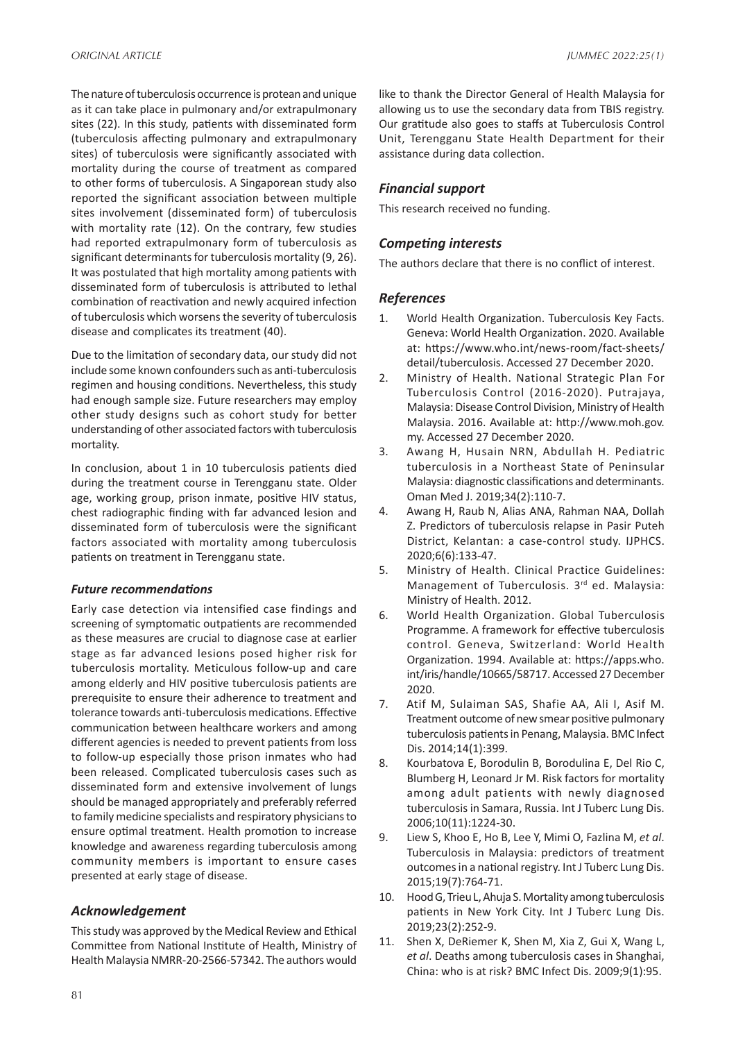The nature of tuberculosis occurrence is protean and unique as it can take place in pulmonary and/or extrapulmonary sites (22). In this study, patients with disseminated form (tuberculosis affecting pulmonary and extrapulmonary sites) of tuberculosis were significantly associated with mortality during the course of treatment as compared to other forms of tuberculosis. A Singaporean study also reported the significant association between multiple sites involvement (disseminated form) of tuberculosis with mortality rate (12). On the contrary, few studies had reported extrapulmonary form of tuberculosis as significant determinants for tuberculosis mortality (9, 26). It was postulated that high mortality among patients with disseminated form of tuberculosis is attributed to lethal combination of reactivation and newly acquired infection of tuberculosis which worsens the severity of tuberculosis disease and complicates its treatment (40).

Due to the limitation of secondary data, our study did not include some known confounders such as anti-tuberculosis regimen and housing conditions. Nevertheless, this study had enough sample size. Future researchers may employ other study designs such as cohort study for better understanding of other associated factors with tuberculosis mortality.

In conclusion, about 1 in 10 tuberculosis patients died during the treatment course in Terengganu state. Older age, working group, prison inmate, positive HIV status, chest radiographic finding with far advanced lesion and disseminated form of tuberculosis were the significant factors associated with mortality among tuberculosis patients on treatment in Terengganu state.

#### *Future recommendations*

Early case detection via intensified case findings and screening of symptomatic outpatients are recommended as these measures are crucial to diagnose case at earlier stage as far advanced lesions posed higher risk for tuberculosis mortality. Meticulous follow-up and care among elderly and HIV positive tuberculosis patients are prerequisite to ensure their adherence to treatment and tolerance towards anti-tuberculosis medications. Effective communication between healthcare workers and among different agencies is needed to prevent patients from loss to follow-up especially those prison inmates who had been released. Complicated tuberculosis cases such as disseminated form and extensive involvement of lungs should be managed appropriately and preferably referred to family medicine specialists and respiratory physicians to ensure optimal treatment. Health promotion to increase knowledge and awareness regarding tuberculosis among community members is important to ensure cases presented at early stage of disease.

### *Acknowledgement*

This study was approved by the Medical Review and Ethical Committee from National Institute of Health, Ministry of Health Malaysia NMRR-20-2566-57342. The authors would like to thank the Director General of Health Malaysia for allowing us to use the secondary data from TBIS registry. Our gratitude also goes to staffs at Tuberculosis Control Unit, Terengganu State Health Department for their assistance during data collection.

## *Financial support*

This research received no funding.

## *Competing interests*

The authors declare that there is no conflict of interest.

## *References*

- 1. World Health Organization. Tuberculosis Key Facts. Geneva: World Health Organization. 2020. Available at: https://www.who.int/news-room/fact-sheets/ detail/tuberculosis. Accessed 27 December 2020.
- 2. Ministry of Health. National Strategic Plan For Tuberculosis Control (2016-2020). Putrajaya, Malaysia: Disease Control Division, Ministry of Health Malaysia. 2016. Available at: http://www.moh.gov. my. Accessed 27 December 2020.
- 3. Awang H, Husain NRN, Abdullah H. Pediatric tuberculosis in a Northeast State of Peninsular Malaysia: diagnostic classifications and determinants. Oman Med J. 2019;34(2):110-7.
- 4. Awang H, Raub N, Alias ANA, Rahman NAA, Dollah Z. Predictors of tuberculosis relapse in Pasir Puteh District, Kelantan: a case-control study. IJPHCS. 2020;6(6):133-47.
- 5. Ministry of Health. Clinical Practice Guidelines: Management of Tuberculosis. 3<sup>rd</sup> ed. Malaysia: Ministry of Health. 2012.
- 6. World Health Organization. Global Tuberculosis Programme. A framework for effective tuberculosis control. Geneva, Switzerland: World Health Organization. 1994. Available at: https://apps.who. int/iris/handle/10665/58717. Accessed 27 December 2020.
- 7. Atif M, Sulaiman SAS, Shafie AA, Ali I, Asif M. Treatment outcome of new smear positive pulmonary tuberculosis patients in Penang, Malaysia. BMC Infect Dis. 2014;14(1):399.
- 8. Kourbatova E, Borodulin B, Borodulina E, Del Rio C, Blumberg H, Leonard Jr M. Risk factors for mortality among adult patients with newly diagnosed tuberculosis in Samara, Russia. Int J Tuberc Lung Dis. 2006;10(11):1224-30.
- 9. Liew S, Khoo E, Ho B, Lee Y, Mimi O, Fazlina M, *et al*. Tuberculosis in Malaysia: predictors of treatment outcomes in a national registry. Int J Tuberc Lung Dis. 2015;19(7):764-71.
- 10. Hood G, Trieu L, Ahuja S. Mortality among tuberculosis patients in New York City. Int J Tuberc Lung Dis. 2019;23(2):252-9.
- 11. Shen X, DeRiemer K, Shen M, Xia Z, Gui X, Wang L, *et al*. Deaths among tuberculosis cases in Shanghai, China: who is at risk? BMC Infect Dis. 2009;9(1):95.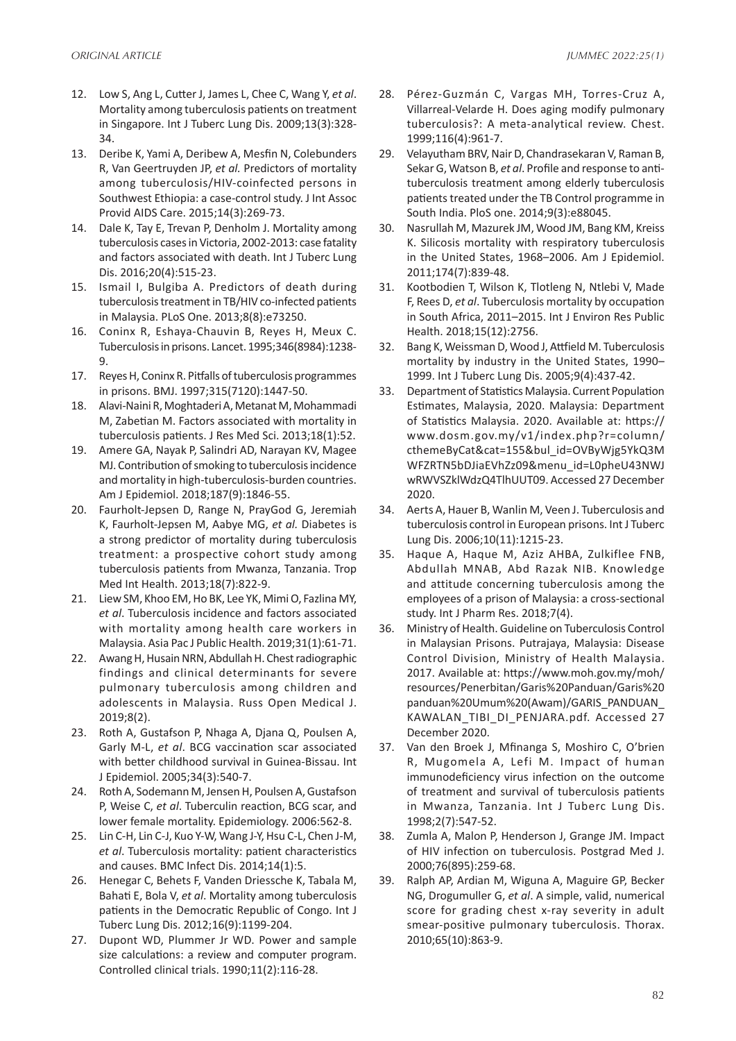- 12. Low S, Ang L, Cutter J, James L, Chee C, Wang Y, *et al*. Mortality among tuberculosis patients on treatment in Singapore. Int J Tuberc Lung Dis. 2009;13(3):328- 34.
- 13. Deribe K, Yami A, Deribew A, Mesfin N, Colebunders R, Van Geertruyden JP, *et al.* Predictors of mortality among tuberculosis/HIV-coinfected persons in Southwest Ethiopia: a case-control study. J Int Assoc Provid AIDS Care. 2015;14(3):269-73.
- 14. Dale K, Tay E, Trevan P, Denholm J. Mortality among tuberculosis cases in Victoria, 2002-2013: case fatality and factors associated with death. Int J Tuberc Lung Dis. 2016;20(4):515-23.
- 15. Ismail I, Bulgiba A. Predictors of death during tuberculosis treatment in TB/HIV co-infected patients in Malaysia. PLoS One. 2013;8(8):e73250.
- 16. Coninx R, Eshaya-Chauvin B, Reyes H, Meux C. Tuberculosis in prisons. Lancet. 1995;346(8984):1238- 9.
- 17. Reyes H, Coninx R. Pitfalls of tuberculosis programmes in prisons. BMJ. 1997;315(7120):1447-50.
- 18. Alavi-Naini R, Moghtaderi A, Metanat M, Mohammadi M, Zabetian M. Factors associated with mortality in tuberculosis patients. J Res Med Sci. 2013;18(1):52.
- 19. Amere GA, Nayak P, Salindri AD, Narayan KV, Magee MJ. Contribution of smoking to tuberculosis incidence and mortality in high-tuberculosis-burden countries. Am J Epidemiol. 2018;187(9):1846-55.
- 20. Faurholt‐Jepsen D, Range N, PrayGod G, Jeremiah K, Faurholt‐Jepsen M, Aabye MG, *et al.* Diabetes is a strong predictor of mortality during tuberculosis treatment: a prospective cohort study among tuberculosis patients from Mwanza, Tanzania. Trop Med Int Health. 2013;18(7):822-9.
- 21. Liew SM, Khoo EM, Ho BK, Lee YK, Mimi O, Fazlina MY, *et al*. Tuberculosis incidence and factors associated with mortality among health care workers in Malaysia. Asia Pac J Public Health. 2019;31(1):61-71.
- 22. Awang H, Husain NRN, Abdullah H. Chest radiographic findings and clinical determinants for severe pulmonary tuberculosis among children and adolescents in Malaysia. Russ Open Medical J. 2019;8(2).
- 23. Roth A, Gustafson P, Nhaga A, Djana Q, Poulsen A, Garly M-L, *et al*. BCG vaccination scar associated with better childhood survival in Guinea-Bissau. Int J Epidemiol. 2005;34(3):540-7.
- 24. Roth A, Sodemann M, Jensen H, Poulsen A, Gustafson P, Weise C, *et al*. Tuberculin reaction, BCG scar, and lower female mortality. Epidemiology. 2006:562-8.
- 25. Lin C-H, Lin C-J, Kuo Y-W, Wang J-Y, Hsu C-L, Chen J-M, *et al*. Tuberculosis mortality: patient characteristics and causes. BMC Infect Dis. 2014;14(1):5.
- 26. Henegar C, Behets F, Vanden Driessche K, Tabala M, Bahati E, Bola V, *et al*. Mortality among tuberculosis patients in the Democratic Republic of Congo. Int J Tuberc Lung Dis. 2012;16(9):1199-204.
- 27. Dupont WD, Plummer Jr WD. Power and sample size calculations: a review and computer program. Controlled clinical trials. 1990;11(2):116-28.
- 28. Pérez-Guzmán C, Vargas MH, Torres-Cruz A, Villarreal-Velarde H. Does aging modify pulmonary tuberculosis?: A meta-analytical review. Chest. 1999;116(4):961-7.
- 29. Velayutham BRV, Nair D, Chandrasekaran V, Raman B, Sekar G, Watson B, *et al*. Profile and response to antituberculosis treatment among elderly tuberculosis patients treated under the TB Control programme in South India. PloS one. 2014;9(3):e88045.
- 30. Nasrullah M, Mazurek JM, Wood JM, Bang KM, Kreiss K. Silicosis mortality with respiratory tuberculosis in the United States, 1968–2006. Am J Epidemiol. 2011;174(7):839-48.
- 31. Kootbodien T, Wilson K, Tlotleng N, Ntlebi V, Made F, Rees D, *et al*. Tuberculosis mortality by occupation in South Africa, 2011–2015. Int J Environ Res Public Health. 2018;15(12):2756.
- 32. Bang K, Weissman D, Wood J, Attfield M. Tuberculosis mortality by industry in the United States, 1990– 1999. Int J Tuberc Lung Dis. 2005;9(4):437-42.
- 33. Department of Statistics Malaysia. Current Population Estimates, Malaysia, 2020. Malaysia: Department of Statistics Malaysia. 2020. Available at: https:// www.dosm.gov.my/v1/index.php?r=column/ cthemeByCat&cat=155&bul\_id=OVByWjg5YkQ3M WFZRTN5bDJiaEVhZz09&menu\_id=L0pheU43NWJ wRWVSZklWdzQ4TlhUUT09. Accessed 27 December 2020.
- 34. Aerts A, Hauer B, Wanlin M, Veen J. Tuberculosis and tuberculosis control in European prisons. Int J Tuberc Lung Dis. 2006;10(11):1215-23.
- 35. Haque A, Haque M, Aziz AHBA, Zulkiflee FNB, Abdullah MNAB, Abd Razak NIB. Knowledge and attitude concerning tuberculosis among the employees of a prison of Malaysia: a cross-sectional study. Int J Pharm Res. 2018;7(4).
- 36. Ministry of Health. Guideline on Tuberculosis Control in Malaysian Prisons. Putrajaya, Malaysia: Disease Control Division, Ministry of Health Malaysia. 2017. Available at: https://www.moh.gov.my/moh/ resources/Penerbitan/Garis%20Panduan/Garis%20 panduan%20Umum%20(Awam)/GARIS\_PANDUAN\_ KAWALAN\_TIBI\_DI\_PENJARA.pdf. Accessed 27 December 2020.
- 37. Van den Broek J, Mfinanga S, Moshiro C, O'brien R, Mugomela A, Lefi M. Impact of human immunodeficiency virus infection on the outcome of treatment and survival of tuberculosis patients in Mwanza, Tanzania. Int J Tuberc Lung Dis. 1998;2(7):547-52.
- 38. Zumla A, Malon P, Henderson J, Grange JM. Impact of HIV infection on tuberculosis. Postgrad Med J. 2000;76(895):259-68.
- 39. Ralph AP, Ardian M, Wiguna A, Maguire GP, Becker NG, Drogumuller G, *et al*. A simple, valid, numerical score for grading chest x-ray severity in adult smear-positive pulmonary tuberculosis. Thorax. 2010;65(10):863-9.